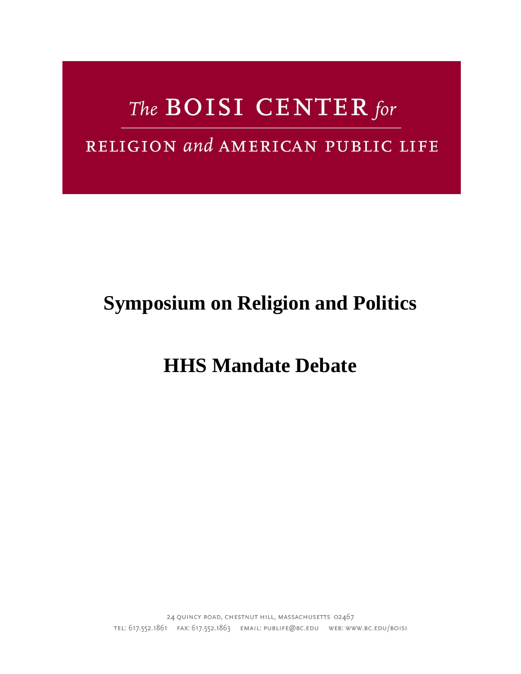# The BOISI CENTER for

## RELIGION and AMERICAN PUBLIC LIFE

# **Symposium on Religion and Politics**

# **HHS Mandate Debate**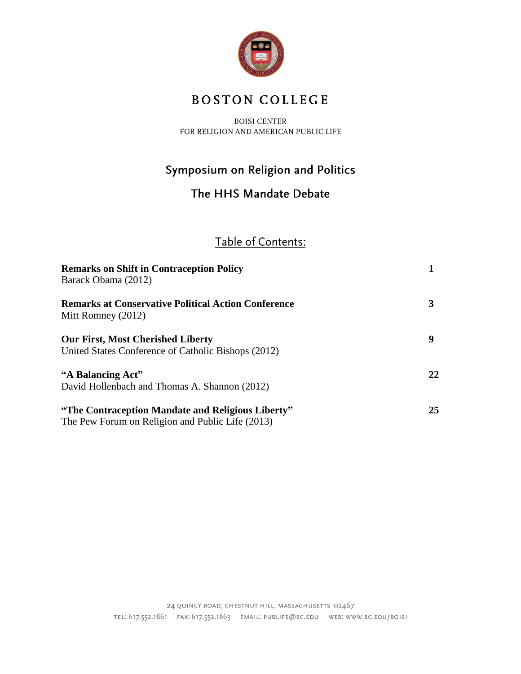

## **BOSTON COLLEGE**

**BOISI CENTER** FOR RELIGION AND AMERICAN PUBLIC LIFE

## Symposium on Religion and Politics

## The HHS Mandate Debate

## Table of Contents:

| <b>Remarks on Shift in Contraception Policy</b><br>Barack Obama (2012)                                |    |
|-------------------------------------------------------------------------------------------------------|----|
| <b>Remarks at Conservative Political Action Conference</b><br>Mitt Romney (2012)                      | 3  |
| <b>Our First, Most Cherished Liberty</b><br>United States Conference of Catholic Bishops (2012)       | 9  |
| "A Balancing Act"<br>David Hollenbach and Thomas A. Shannon (2012)                                    | 22 |
| "The Contraception Mandate and Religious Liberty"<br>The Pew Forum on Religion and Public Life (2013) | 25 |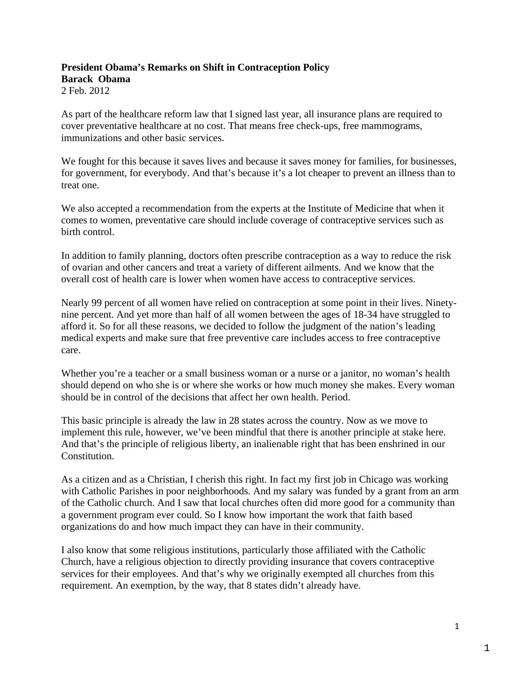#### **President Obama's Remarks on Shift in Contraception Policy Barack Obama**

2 Feb. 2012

As part of the healthcare reform law that I signed last year, all insurance plans are required to cover preventative healthcare at no cost. That means free check-ups, free mammograms, immunizations and other basic services.

We fought for this because it saves lives and because it saves money for families, for businesses, for government, for everybody. And that's because it's a lot cheaper to prevent an illness than to treat one.

We also accepted a recommendation from the experts at the Institute of Medicine that when it comes to women, preventative care should include coverage of contraceptive services such as birth control.

In addition to family planning, doctors often prescribe contraception as a way to reduce the risk of ovarian and other cancers and treat a variety of different ailments. And we know that the overall cost of health care is lower when women have access to contraceptive services.

Nearly 99 percent of all women have relied on contraception at some point in their lives. Ninetynine percent. And yet more than half of all women between the ages of 18-34 have struggled to afford it. So for all these reasons, we decided to follow the judgment of the nation's leading medical experts and make sure that free preventive care includes access to free contraceptive care.

Whether you're a teacher or a small business woman or a nurse or a janitor, no woman's health should depend on who she is or where she works or how much money she makes. Every woman should be in control of the decisions that affect her own health. Period.

This basic principle is already the law in 28 states across the country. Now as we move to implement this rule, however, we've been mindful that there is another principle at stake here. And that's the principle of religious liberty, an inalienable right that has been enshrined in our Constitution.

As a citizen and as a Christian, I cherish this right. In fact my first job in Chicago was working with Catholic Parishes in poor neighborhoods. And my salary was funded by a grant from an arm of the Catholic church. And I saw that local churches often did more good for a community than a government program ever could. So I know how important the work that faith based organizations do and how much impact they can have in their community.

I also know that some religious institutions, particularly those affiliated with the Catholic Church, have a religious objection to directly providing insurance that covers contraceptive services for their employees. And that's why we originally exempted all churches from this requirement. An exemption, by the way, that 8 states didn't already have.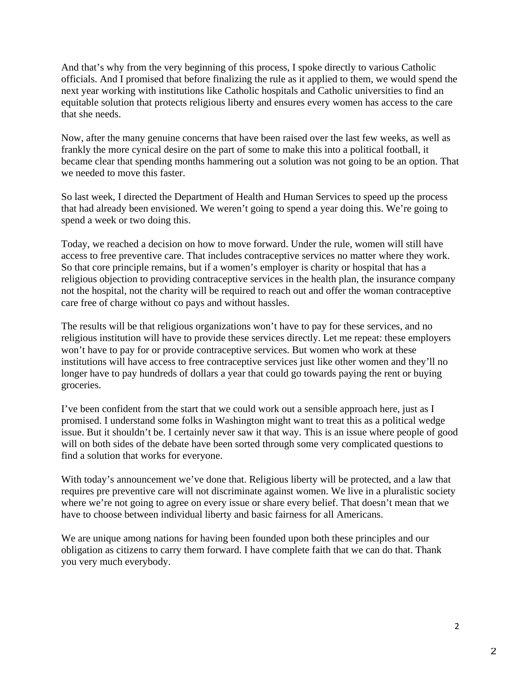And that's why from the very beginning of this process, I spoke directly to various Catholic officials. And I promised that before finalizing the rule as it applied to them, we would spend the next year working with institutions like Catholic hospitals and Catholic universities to find an equitable solution that protects religious liberty and ensures every women has access to the care that she needs.

Now, after the many genuine concerns that have been raised over the last few weeks, as well as frankly the more cynical desire on the part of some to make this into a political football, it became clear that spending months hammering out a solution was not going to be an option. That we needed to move this faster.

So last week, I directed the Department of Health and Human Services to speed up the process that had already been envisioned. We weren't going to spend a year doing this. We're going to spend a week or two doing this.

Today, we reached a decision on how to move forward. Under the rule, women will still have access to free preventive care. That includes contraceptive services no matter where they work. So that core principle remains, but if a women's employer is charity or hospital that has a religious objection to providing contraceptive services in the health plan, the insurance company not the hospital, not the charity will be required to reach out and offer the woman contraceptive care free of charge without co pays and without hassles.

The results will be that religious organizations won't have to pay for these services, and no religious institution will have to provide these services directly. Let me repeat: these employers won't have to pay for or provide contraceptive services. But women who work at these institutions will have access to free contraceptive services just like other women and they'll no longer have to pay hundreds of dollars a year that could go towards paying the rent or buying groceries.

I've been confident from the start that we could work out a sensible approach here, just as I promised. I understand some folks in Washington might want to treat this as a political wedge issue. But it shouldn't be. I certainly never saw it that way. This is an issue where people of good will on both sides of the debate have been sorted through some very complicated questions to find a solution that works for everyone.

With today's announcement we've done that. Religious liberty will be protected, and a law that requires pre preventive care will not discriminate against women. We live in a pluralistic society where we're not going to agree on every issue or share every belief. That doesn't mean that we have to choose between individual liberty and basic fairness for all Americans.

We are unique among nations for having been founded upon both these principles and our obligation as citizens to carry them forward. I have complete faith that we can do that. Thank you very much everybody.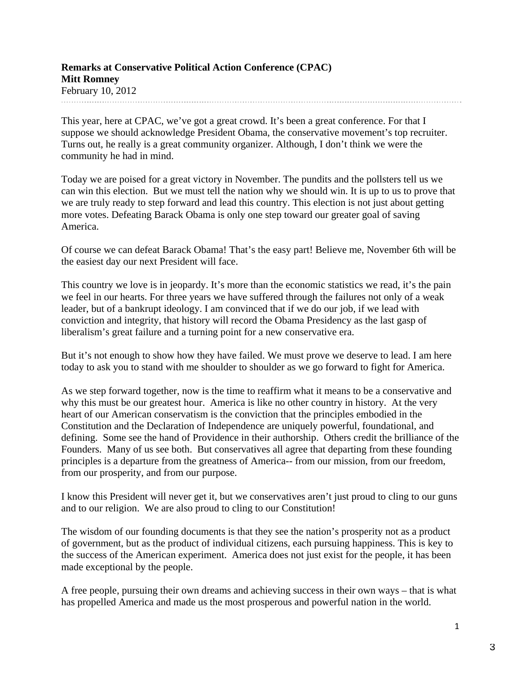#### **Remarks at Conservative Political Action Conference (CPAC) Mitt Romney** February 10, 2012

This year, here at CPAC, we've got a great crowd. It's been a great conference. For that I suppose we should acknowledge President Obama, the conservative movement's top recruiter. Turns out, he really is a great community organizer. Although, I don't think we were the community he had in mind.

Today we are poised for a great victory in November. The pundits and the pollsters tell us we can win this election. But we must tell the nation why we should win. It is up to us to prove that we are truly ready to step forward and lead this country. This election is not just about getting more votes. Defeating Barack Obama is only one step toward our greater goal of saving America.

Of course we can defeat Barack Obama! That's the easy part! Believe me, November 6th will be the easiest day our next President will face.

This country we love is in jeopardy. It's more than the economic statistics we read, it's the pain we feel in our hearts. For three years we have suffered through the failures not only of a weak leader, but of a bankrupt ideology. I am convinced that if we do our job, if we lead with conviction and integrity, that history will record the Obama Presidency as the last gasp of liberalism's great failure and a turning point for a new conservative era.

But it's not enough to show how they have failed. We must prove we deserve to lead. I am here today to ask you to stand with me shoulder to shoulder as we go forward to fight for America.

As we step forward together, now is the time to reaffirm what it means to be a conservative and why this must be our greatest hour. America is like no other country in history. At the very heart of our American conservatism is the conviction that the principles embodied in the Constitution and the Declaration of Independence are uniquely powerful, foundational, and defining. Some see the hand of Providence in their authorship. Others credit the brilliance of the Founders. Many of us see both. But conservatives all agree that departing from these founding principles is a departure from the greatness of America-- from our mission, from our freedom, from our prosperity, and from our purpose.

I know this President will never get it, but we conservatives aren't just proud to cling to our guns and to our religion. We are also proud to cling to our Constitution!

The wisdom of our founding documents is that they see the nation's prosperity not as a product of government, but as the product of individual citizens, each pursuing happiness. This is key to the success of the American experiment. America does not just exist for the people, it has been made exceptional by the people.

A free people, pursuing their own dreams and achieving success in their own ways – that is what has propelled America and made us the most prosperous and powerful nation in the world.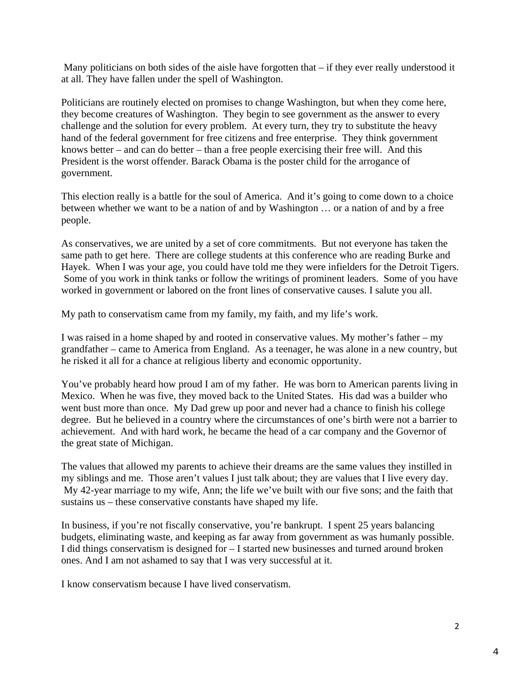Many politicians on both sides of the aisle have forgotten that – if they ever really understood it at all. They have fallen under the spell of Washington.

Politicians are routinely elected on promises to change Washington, but when they come here, they become creatures of Washington. They begin to see government as the answer to every challenge and the solution for every problem. At every turn, they try to substitute the heavy hand of the federal government for free citizens and free enterprise. They think government knows better – and can do better – than a free people exercising their free will. And this President is the worst offender. Barack Obama is the poster child for the arrogance of government.

This election really is a battle for the soul of America. And it's going to come down to a choice between whether we want to be a nation of and by Washington … or a nation of and by a free people.

As conservatives, we are united by a set of core commitments. But not everyone has taken the same path to get here. There are college students at this conference who are reading Burke and Hayek. When I was your age, you could have told me they were infielders for the Detroit Tigers. Some of you work in think tanks or follow the writings of prominent leaders. Some of you have worked in government or labored on the front lines of conservative causes. I salute you all.

My path to conservatism came from my family, my faith, and my life's work.

I was raised in a home shaped by and rooted in conservative values. My mother's father – my grandfather – came to America from England. As a teenager, he was alone in a new country, but he risked it all for a chance at religious liberty and economic opportunity.

You've probably heard how proud I am of my father. He was born to American parents living in Mexico. When he was five, they moved back to the United States. His dad was a builder who went bust more than once. My Dad grew up poor and never had a chance to finish his college degree. But he believed in a country where the circumstances of one's birth were not a barrier to achievement. And with hard work, he became the head of a car company and the Governor of the great state of Michigan.

The values that allowed my parents to achieve their dreams are the same values they instilled in my siblings and me. Those aren't values I just talk about; they are values that I live every day. My 42-year marriage to my wife, Ann; the life we've built with our five sons; and the faith that sustains us – these conservative constants have shaped my life.

In business, if you're not fiscally conservative, you're bankrupt. I spent 25 years balancing budgets, eliminating waste, and keeping as far away from government as was humanly possible. I did things conservatism is designed for – I started new businesses and turned around broken ones. And I am not ashamed to say that I was very successful at it.

I know conservatism because I have lived conservatism.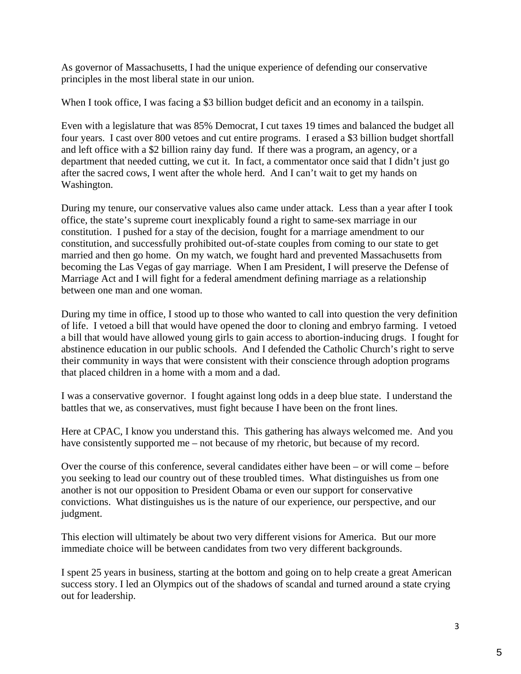As governor of Massachusetts, I had the unique experience of defending our conservative principles in the most liberal state in our union.

When I took office, I was facing a \$3 billion budget deficit and an economy in a tailspin.

Even with a legislature that was 85% Democrat, I cut taxes 19 times and balanced the budget all four years. I cast over 800 vetoes and cut entire programs. I erased a \$3 billion budget shortfall and left office with a \$2 billion rainy day fund. If there was a program, an agency, or a department that needed cutting, we cut it. In fact, a commentator once said that I didn't just go after the sacred cows, I went after the whole herd. And I can't wait to get my hands on Washington.

During my tenure, our conservative values also came under attack. Less than a year after I took office, the state's supreme court inexplicably found a right to same-sex marriage in our constitution. I pushed for a stay of the decision, fought for a marriage amendment to our constitution, and successfully prohibited out-of-state couples from coming to our state to get married and then go home. On my watch, we fought hard and prevented Massachusetts from becoming the Las Vegas of gay marriage. When I am President, I will preserve the Defense of Marriage Act and I will fight for a federal amendment defining marriage as a relationship between one man and one woman.

During my time in office, I stood up to those who wanted to call into question the very definition of life. I vetoed a bill that would have opened the door to cloning and embryo farming. I vetoed a bill that would have allowed young girls to gain access to abortion-inducing drugs. I fought for abstinence education in our public schools. And I defended the Catholic Church's right to serve their community in ways that were consistent with their conscience through adoption programs that placed children in a home with a mom and a dad.

I was a conservative governor. I fought against long odds in a deep blue state. I understand the battles that we, as conservatives, must fight because I have been on the front lines.

Here at CPAC, I know you understand this. This gathering has always welcomed me. And you have consistently supported me – not because of my rhetoric, but because of my record.

Over the course of this conference, several candidates either have been – or will come – before you seeking to lead our country out of these troubled times. What distinguishes us from one another is not our opposition to President Obama or even our support for conservative convictions. What distinguishes us is the nature of our experience, our perspective, and our judgment.

This election will ultimately be about two very different visions for America. But our more immediate choice will be between candidates from two very different backgrounds.

I spent 25 years in business, starting at the bottom and going on to help create a great American success story. I led an Olympics out of the shadows of scandal and turned around a state crying out for leadership.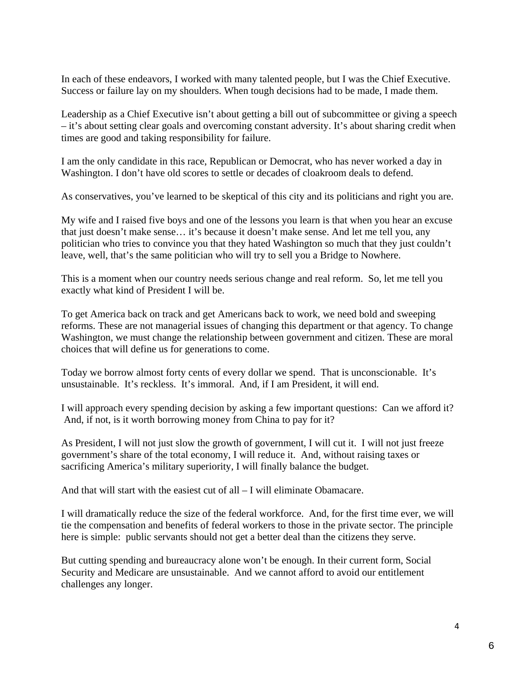In each of these endeavors, I worked with many talented people, but I was the Chief Executive. Success or failure lay on my shoulders. When tough decisions had to be made, I made them.

Leadership as a Chief Executive isn't about getting a bill out of subcommittee or giving a speech – it's about setting clear goals and overcoming constant adversity. It's about sharing credit when times are good and taking responsibility for failure.

I am the only candidate in this race, Republican or Democrat, who has never worked a day in Washington. I don't have old scores to settle or decades of cloakroom deals to defend.

As conservatives, you've learned to be skeptical of this city and its politicians and right you are.

My wife and I raised five boys and one of the lessons you learn is that when you hear an excuse that just doesn't make sense… it's because it doesn't make sense. And let me tell you, any politician who tries to convince you that they hated Washington so much that they just couldn't leave, well, that's the same politician who will try to sell you a Bridge to Nowhere.

This is a moment when our country needs serious change and real reform. So, let me tell you exactly what kind of President I will be.

To get America back on track and get Americans back to work, we need bold and sweeping reforms. These are not managerial issues of changing this department or that agency. To change Washington, we must change the relationship between government and citizen. These are moral choices that will define us for generations to come.

Today we borrow almost forty cents of every dollar we spend. That is unconscionable. It's unsustainable. It's reckless. It's immoral. And, if I am President, it will end.

I will approach every spending decision by asking a few important questions: Can we afford it? And, if not, is it worth borrowing money from China to pay for it?

As President, I will not just slow the growth of government, I will cut it. I will not just freeze government's share of the total economy, I will reduce it. And, without raising taxes or sacrificing America's military superiority, I will finally balance the budget.

And that will start with the easiest cut of all – I will eliminate Obamacare.

I will dramatically reduce the size of the federal workforce. And, for the first time ever, we will tie the compensation and benefits of federal workers to those in the private sector. The principle here is simple: public servants should not get a better deal than the citizens they serve.

But cutting spending and bureaucracy alone won't be enough. In their current form, Social Security and Medicare are unsustainable. And we cannot afford to avoid our entitlement challenges any longer.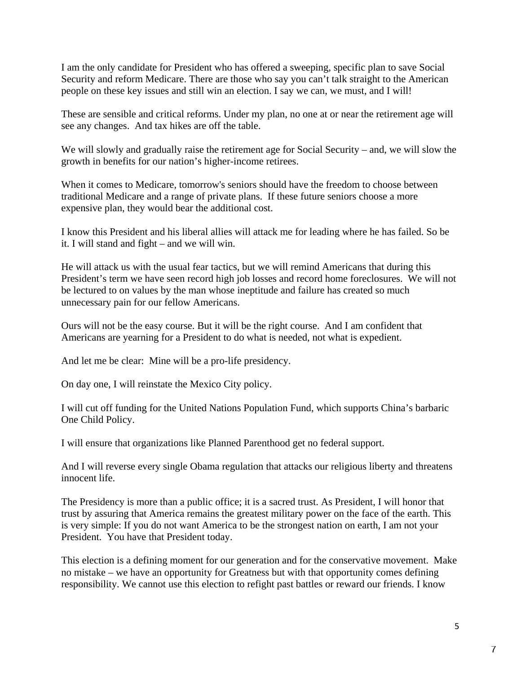I am the only candidate for President who has offered a sweeping, specific plan to save Social Security and reform Medicare. There are those who say you can't talk straight to the American people on these key issues and still win an election. I say we can, we must, and I will!

These are sensible and critical reforms. Under my plan, no one at or near the retirement age will see any changes. And tax hikes are off the table.

We will slowly and gradually raise the retirement age for Social Security – and, we will slow the growth in benefits for our nation's higher-income retirees.

When it comes to Medicare, tomorrow's seniors should have the freedom to choose between traditional Medicare and a range of private plans. If these future seniors choose a more expensive plan, they would bear the additional cost.

I know this President and his liberal allies will attack me for leading where he has failed. So be it. I will stand and fight – and we will win.

He will attack us with the usual fear tactics, but we will remind Americans that during this President's term we have seen record high job losses and record home foreclosures. We will not be lectured to on values by the man whose ineptitude and failure has created so much unnecessary pain for our fellow Americans.

Ours will not be the easy course. But it will be the right course. And I am confident that Americans are yearning for a President to do what is needed, not what is expedient.

And let me be clear: Mine will be a pro-life presidency.

On day one, I will reinstate the Mexico City policy.

I will cut off funding for the United Nations Population Fund, which supports China's barbaric One Child Policy.

I will ensure that organizations like Planned Parenthood get no federal support.

And I will reverse every single Obama regulation that attacks our religious liberty and threatens innocent life.

The Presidency is more than a public office; it is a sacred trust. As President, I will honor that trust by assuring that America remains the greatest military power on the face of the earth. This is very simple: If you do not want America to be the strongest nation on earth, I am not your President. You have that President today.

This election is a defining moment for our generation and for the conservative movement. Make no mistake – we have an opportunity for Greatness but with that opportunity comes defining responsibility. We cannot use this election to refight past battles or reward our friends. I know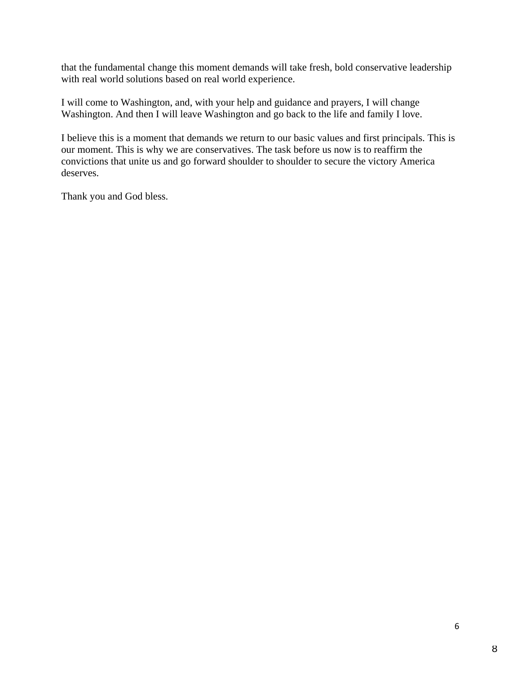that the fundamental change this moment demands will take fresh, bold conservative leadership with real world solutions based on real world experience.

I will come to Washington, and, with your help and guidance and prayers, I will change Washington. And then I will leave Washington and go back to the life and family I love.

I believe this is a moment that demands we return to our basic values and first principals. This is our moment. This is why we are conservatives. The task before us now is to reaffirm the convictions that unite us and go forward shoulder to shoulder to secure the victory America deserves.

Thank you and God bless.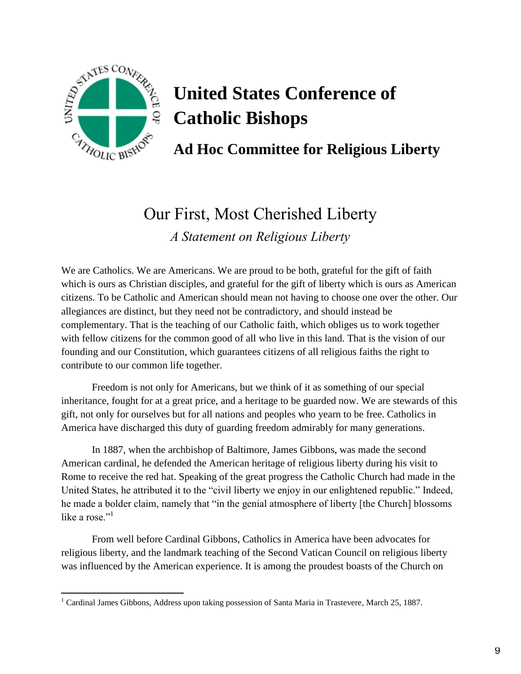

 $\overline{\phantom{a}}$ 

# **United States Conference of Catholic Bishops**

**Ad Hoc Committee for Religious Liberty**

# Our First, Most Cherished Liberty *A Statement on Religious Liberty*

We are Catholics. We are Americans. We are proud to be both, grateful for the gift of faith which is ours as Christian disciples, and grateful for the gift of liberty which is ours as American citizens. To be Catholic and American should mean not having to choose one over the other. Our allegiances are distinct, but they need not be contradictory, and should instead be complementary. That is the teaching of our Catholic faith, which obliges us to work together with fellow citizens for the common good of all who live in this land. That is the vision of our founding and our Constitution, which guarantees citizens of all religious faiths the right to contribute to our common life together.

Freedom is not only for Americans, but we think of it as something of our special inheritance, fought for at a great price, and a heritage to be guarded now. We are stewards of this gift, not only for ourselves but for all nations and peoples who yearn to be free. Catholics in America have discharged this duty of guarding freedom admirably for many generations.

In 1887, when the archbishop of Baltimore, James Gibbons, was made the second American cardinal, he defended the American heritage of religious liberty during his visit to Rome to receive the red hat. Speaking of the great progress the Catholic Church had made in the United States, he attributed it to the "civil liberty we enjoy in our enlightened republic." Indeed, he made a bolder claim, namely that "in the genial atmosphere of liberty [the Church] blossoms like a rose." $1$ 

From well before Cardinal Gibbons, Catholics in America have been advocates for religious liberty, and the landmark teaching of the Second Vatican Council on religious liberty was influenced by the American experience. It is among the proudest boasts of the Church on

<sup>&</sup>lt;sup>1</sup> Cardinal James Gibbons, Address upon taking possession of Santa Maria in Trastevere, March 25, 1887.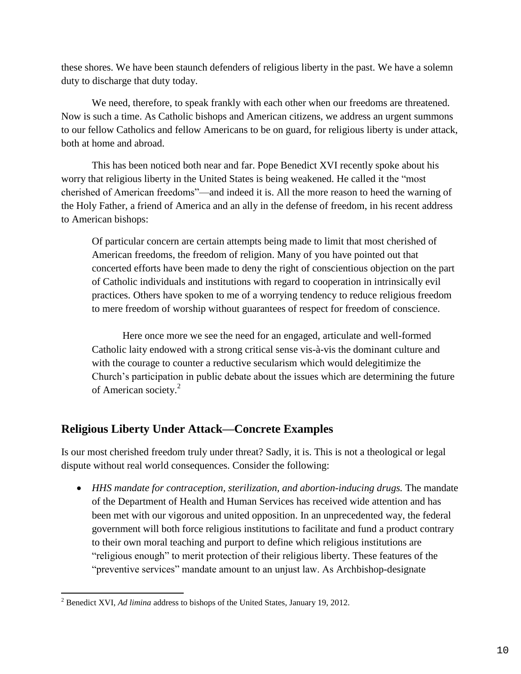these shores. We have been staunch defenders of religious liberty in the past. We have a solemn duty to discharge that duty today.

We need, therefore, to speak frankly with each other when our freedoms are threatened. Now is such a time. As Catholic bishops and American citizens, we address an urgent summons to our fellow Catholics and fellow Americans to be on guard, for religious liberty is under attack, both at home and abroad.

This has been noticed both near and far. Pope Benedict XVI recently spoke about his worry that religious liberty in the United States is being weakened. He called it the "most cherished of American freedoms"—and indeed it is. All the more reason to heed the warning of the Holy Father, a friend of America and an ally in the defense of freedom, in his recent address to American bishops:

Of particular concern are certain attempts being made to limit that most cherished of American freedoms, the freedom of religion. Many of you have pointed out that concerted efforts have been made to deny the right of conscientious objection on the part of Catholic individuals and institutions with regard to cooperation in intrinsically evil practices. Others have spoken to me of a worrying tendency to reduce religious freedom to mere freedom of worship without guarantees of respect for freedom of conscience.

Here once more we see the need for an engaged, articulate and well-formed Catholic laity endowed with a strong critical sense vis-à-vis the dominant culture and with the courage to counter a reductive secularism which would delegitimize the Church's participation in public debate about the issues which are determining the future of American society.<sup>2</sup>

## **Religious Liberty Under Attack—Concrete Examples**

Is our most cherished freedom truly under threat? Sadly, it is. This is not a theological or legal dispute without real world consequences. Consider the following:

• HHS mandate for contraception, sterilization, and abortion-inducing drugs. The mandate of the Department of Health and Human Services has received wide attention and has been met with our vigorous and united opposition. In an unprecedented way, the federal government will both force religious institutions to facilitate and fund a product contrary to their own moral teaching and purport to define which religious institutions are "religious enough" to merit protection of their religious liberty. These features of the "preventive services" mandate amount to an unjust law. As Archbishop-designate

 $\overline{\phantom{a}}$ 

<sup>2</sup> Benedict XVI, *Ad limina* address to bishops of the United States, January 19, 2012.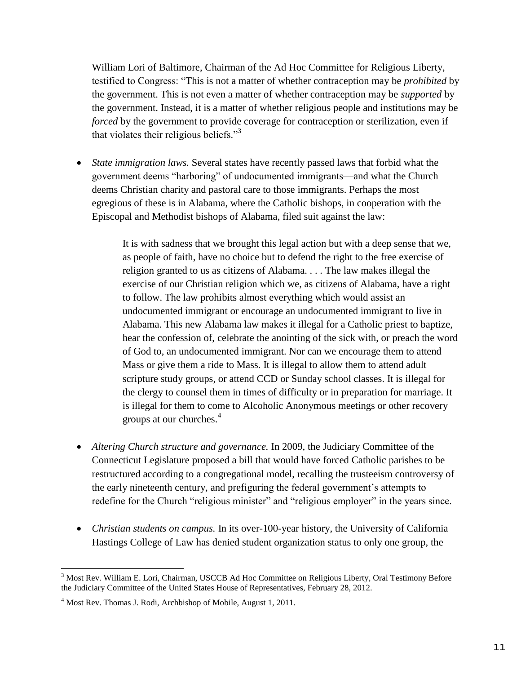William Lori of Baltimore, Chairman of the Ad Hoc Committee for Religious Liberty, testified to Congress: "This is not a matter of whether contraception may be *prohibited* by the government. This is not even a matter of whether contraception may be *supported* by the government. Instead, it is a matter of whether religious people and institutions may be *forced* by the government to provide coverage for contraception or sterilization, even if that violates their religious beliefs."<sup>3</sup>

 *State immigration laws.* Several states have recently passed laws that forbid what the government deems "harboring" of undocumented immigrants—and what the Church deems Christian charity and pastoral care to those immigrants. Perhaps the most egregious of these is in Alabama, where the Catholic bishops, in cooperation with the Episcopal and Methodist bishops of Alabama, filed suit against the law:

> It is with sadness that we brought this legal action but with a deep sense that we, as people of faith, have no choice but to defend the right to the free exercise of religion granted to us as citizens of Alabama. . . . The law makes illegal the exercise of our Christian religion which we, as citizens of Alabama, have a right to follow. The law prohibits almost everything which would assist an undocumented immigrant or encourage an undocumented immigrant to live in Alabama. This new Alabama law makes it illegal for a Catholic priest to baptize, hear the confession of, celebrate the anointing of the sick with, or preach the word of God to, an undocumented immigrant. Nor can we encourage them to attend Mass or give them a ride to Mass. It is illegal to allow them to attend adult scripture study groups, or attend CCD or Sunday school classes. It is illegal for the clergy to counsel them in times of difficulty or in preparation for marriage. It is illegal for them to come to Alcoholic Anonymous meetings or other recovery groups at our churches.<sup>4</sup>

- *Altering Church structure and governance.* In 2009, the Judiciary Committee of the Connecticut Legislature proposed a bill that would have forced Catholic parishes to be restructured according to a congregational model, recalling the trusteeism controversy of the early nineteenth century, and prefiguring the federal government's attempts to redefine for the Church "religious minister" and "religious employer" in the years since.
- *Christian students on campus.* In its over-100-year history, the University of California Hastings College of Law has denied student organization status to only one group, the

 $\overline{\phantom{a}}$ <sup>3</sup> Most Rev. William E. Lori, Chairman, USCCB Ad Hoc Committee on Religious Liberty, Oral Testimony Before the Judiciary Committee of the United States House of Representatives, February 28, 2012.

<sup>&</sup>lt;sup>4</sup> Most Rev. Thomas J. Rodi, Archbishop of Mobile, August 1, 2011.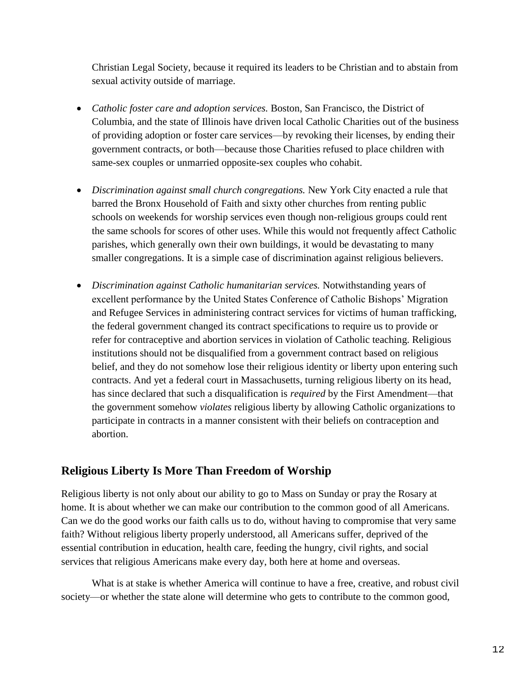Christian Legal Society, because it required its leaders to be Christian and to abstain from sexual activity outside of marriage.

- *Catholic foster care and adoption services.* Boston, San Francisco, the District of Columbia, and the state of Illinois have driven local Catholic Charities out of the business of providing adoption or foster care services—by revoking their licenses, by ending their government contracts, or both—because those Charities refused to place children with same-sex couples or unmarried opposite-sex couples who cohabit.
- *Discrimination against small church congregations.* New York City enacted a rule that barred the Bronx Household of Faith and sixty other churches from renting public schools on weekends for worship services even though non-religious groups could rent the same schools for scores of other uses. While this would not frequently affect Catholic parishes, which generally own their own buildings, it would be devastating to many smaller congregations. It is a simple case of discrimination against religious believers.
- *Discrimination against Catholic humanitarian services.* Notwithstanding years of excellent performance by the United States Conference of Catholic Bishops' Migration and Refugee Services in administering contract services for victims of human trafficking, the federal government changed its contract specifications to require us to provide or refer for contraceptive and abortion services in violation of Catholic teaching. Religious institutions should not be disqualified from a government contract based on religious belief, and they do not somehow lose their religious identity or liberty upon entering such contracts. And yet a federal court in Massachusetts, turning religious liberty on its head, has since declared that such a disqualification is *required* by the First Amendment—that the government somehow *violates* religious liberty by allowing Catholic organizations to participate in contracts in a manner consistent with their beliefs on contraception and abortion.

## **Religious Liberty Is More Than Freedom of Worship**

Religious liberty is not only about our ability to go to Mass on Sunday or pray the Rosary at home. It is about whether we can make our contribution to the common good of all Americans. Can we do the good works our faith calls us to do, without having to compromise that very same faith? Without religious liberty properly understood, all Americans suffer, deprived of the essential contribution in education, health care, feeding the hungry, civil rights, and social services that religious Americans make every day, both here at home and overseas.

What is at stake is whether America will continue to have a free, creative, and robust civil society—or whether the state alone will determine who gets to contribute to the common good,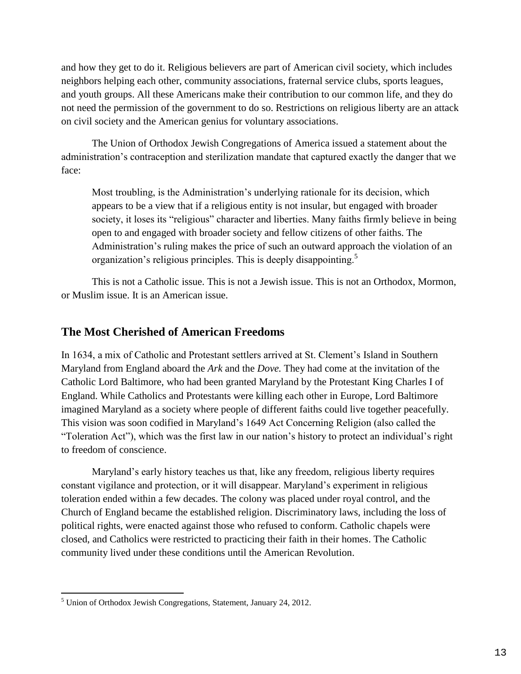and how they get to do it. Religious believers are part of American civil society, which includes neighbors helping each other, community associations, fraternal service clubs, sports leagues, and youth groups. All these Americans make their contribution to our common life, and they do not need the permission of the government to do so. Restrictions on religious liberty are an attack on civil society and the American genius for voluntary associations.

The Union of Orthodox Jewish Congregations of America issued a statement about the administration's contraception and sterilization mandate that captured exactly the danger that we face:

Most troubling, is the Administration's underlying rationale for its decision, which appears to be a view that if a religious entity is not insular, but engaged with broader society, it loses its "religious" character and liberties. Many faiths firmly believe in being open to and engaged with broader society and fellow citizens of other faiths. The Administration's ruling makes the price of such an outward approach the violation of an organization's religious principles. This is deeply disappointing.<sup>5</sup>

This is not a Catholic issue. This is not a Jewish issue. This is not an Orthodox, Mormon, or Muslim issue. It is an American issue.

### **The Most Cherished of American Freedoms**

In 1634, a mix of Catholic and Protestant settlers arrived at St. Clement's Island in Southern Maryland from England aboard the *Ark* and the *Dove.* They had come at the invitation of the Catholic Lord Baltimore, who had been granted Maryland by the Protestant King Charles I of England. While Catholics and Protestants were killing each other in Europe, Lord Baltimore imagined Maryland as a society where people of different faiths could live together peacefully. This vision was soon codified in Maryland's 1649 Act Concerning Religion (also called the "Toleration Act"), which was the first law in our nation's history to protect an individual's right to freedom of conscience.

Maryland's early history teaches us that, like any freedom, religious liberty requires constant vigilance and protection, or it will disappear. Maryland's experiment in religious toleration ended within a few decades. The colony was placed under royal control, and the Church of England became the established religion. Discriminatory laws, including the loss of political rights, were enacted against those who refused to conform. Catholic chapels were closed, and Catholics were restricted to practicing their faith in their homes. The Catholic community lived under these conditions until the American Revolution.

 $\overline{\phantom{a}}$ 

 $<sup>5</sup>$  Union of Orthodox Jewish Congregations, Statement, January 24, 2012.</sup>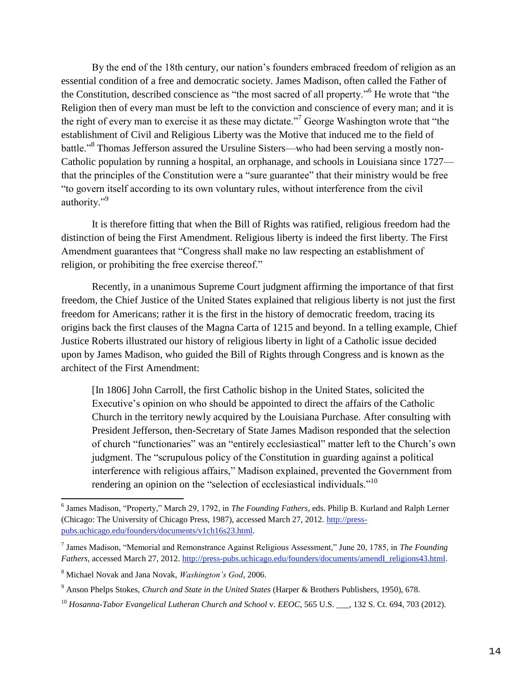By the end of the 18th century, our nation's founders embraced freedom of religion as an essential condition of a free and democratic society. James Madison, often called the Father of the Constitution, described conscience as "the most sacred of all property."<sup>6</sup> He wrote that "the Religion then of every man must be left to the conviction and conscience of every man; and it is the right of every man to exercise it as these may dictate."<sup>7</sup> George Washington wrote that "the establishment of Civil and Religious Liberty was the Motive that induced me to the field of battle."<sup>8</sup> Thomas Jefferson assured the Ursuline Sisters—who had been serving a mostly non-Catholic population by running a hospital, an orphanage, and schools in Louisiana since 1727 that the principles of the Constitution were a "sure guarantee" that their ministry would be free "to govern itself according to its own voluntary rules, without interference from the civil authority."<sup>9</sup>

It is therefore fitting that when the Bill of Rights was ratified, religious freedom had the distinction of being the First Amendment. Religious liberty is indeed the first liberty. The First Amendment guarantees that "Congress shall make no law respecting an establishment of religion, or prohibiting the free exercise thereof."

Recently, in a unanimous Supreme Court judgment affirming the importance of that first freedom, the Chief Justice of the United States explained that religious liberty is not just the first freedom for Americans; rather it is the first in the history of democratic freedom, tracing its origins back the first clauses of the Magna Carta of 1215 and beyond. In a telling example, Chief Justice Roberts illustrated our history of religious liberty in light of a Catholic issue decided upon by James Madison, who guided the Bill of Rights through Congress and is known as the architect of the First Amendment:

[In 1806] John Carroll, the first Catholic bishop in the United States, solicited the Executive's opinion on who should be appointed to direct the affairs of the Catholic Church in the territory newly acquired by the Louisiana Purchase. After consulting with President Jefferson, then-Secretary of State James Madison responded that the selection of church "functionaries" was an "entirely ecclesiastical" matter left to the Church's own judgment. The "scrupulous policy of the Constitution in guarding against a political interference with religious affairs," Madison explained, prevented the Government from rendering an opinion on the "selection of ecclesiastical individuals."<sup>10</sup>

 6 James Madison, "Property," March 29, 1792, in *The Founding Fathers*, eds. Philip B. Kurland and Ralph Lerner (Chicago: The University of Chicago Press, 1987), accessed March 27, 2012. [http://press](http://press-pubs.uchicago.edu/founders/documents/v1ch16s23.html)[pubs.uchicago.edu/founders/documents/v1ch16s23.html.](http://press-pubs.uchicago.edu/founders/documents/v1ch16s23.html)

<sup>7</sup> James Madison, "Memorial and Remonstrance Against Religious Assessment," June 20, 1785, in *The Founding Fathers*, accessed March 27, 2012. [http://press-pubs.uchicago.edu/founders/documents/amendI\\_religions43.html.](http://press-pubs.uchicago.edu/founders/documents/amendI_religions43.html)

<sup>8</sup> Michael Novak and Jana Novak, *Washington's God*, 2006.

<sup>9</sup> Anson Phelps Stokes, *Church and State in the United States* (Harper & Brothers Publishers, 1950), 678.

<sup>&</sup>lt;sup>10</sup> Hosanna-Tabor Evangelical Lutheran Church and School v. *EEOC*, 565 U.S. \_\_\_, 132 S. Ct. 694, 703 (2012).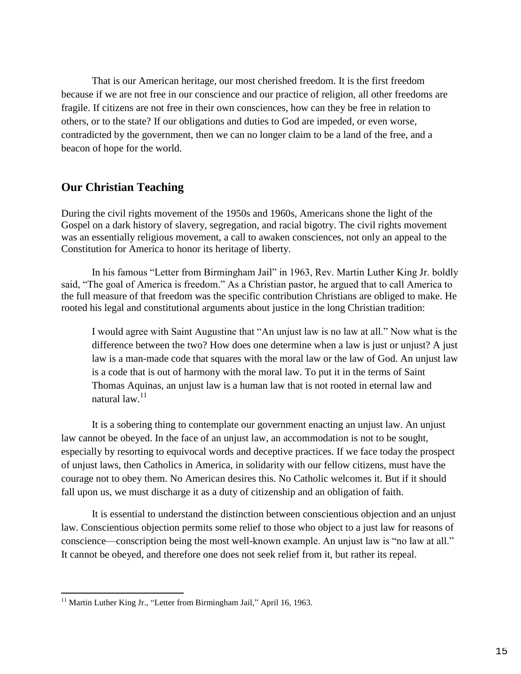That is our American heritage, our most cherished freedom. It is the first freedom because if we are not free in our conscience and our practice of religion, all other freedoms are fragile. If citizens are not free in their own consciences, how can they be free in relation to others, or to the state? If our obligations and duties to God are impeded, or even worse, contradicted by the government, then we can no longer claim to be a land of the free, and a beacon of hope for the world.

## **Our Christian Teaching**

During the civil rights movement of the 1950s and 1960s, Americans shone the light of the Gospel on a dark history of slavery, segregation, and racial bigotry. The civil rights movement was an essentially religious movement, a call to awaken consciences, not only an appeal to the Constitution for America to honor its heritage of liberty.

In his famous "Letter from Birmingham Jail" in 1963, Rev. Martin Luther King Jr. boldly said, "The goal of America is freedom." As a Christian pastor, he argued that to call America to the full measure of that freedom was the specific contribution Christians are obliged to make. He rooted his legal and constitutional arguments about justice in the long Christian tradition:

I would agree with Saint Augustine that "An unjust law is no law at all." Now what is the difference between the two? How does one determine when a law is just or unjust? A just law is a man-made code that squares with the moral law or the law of God. An unjust law is a code that is out of harmony with the moral law. To put it in the terms of Saint Thomas Aquinas, an unjust law is a human law that is not rooted in eternal law and natural law.<sup>11</sup>

It is a sobering thing to contemplate our government enacting an unjust law. An unjust law cannot be obeyed. In the face of an unjust law, an accommodation is not to be sought, especially by resorting to equivocal words and deceptive practices. If we face today the prospect of unjust laws, then Catholics in America, in solidarity with our fellow citizens, must have the courage not to obey them. No American desires this. No Catholic welcomes it. But if it should fall upon us, we must discharge it as a duty of citizenship and an obligation of faith.

It is essential to understand the distinction between conscientious objection and an unjust law. Conscientious objection permits some relief to those who object to a just law for reasons of conscience—conscription being the most well-known example. An unjust law is "no law at all." It cannot be obeyed, and therefore one does not seek relief from it, but rather its repeal.

 $\overline{\phantom{a}}$ 

<sup>&</sup>lt;sup>11</sup> Martin Luther King Jr., "Letter from Birmingham Jail," April 16, 1963.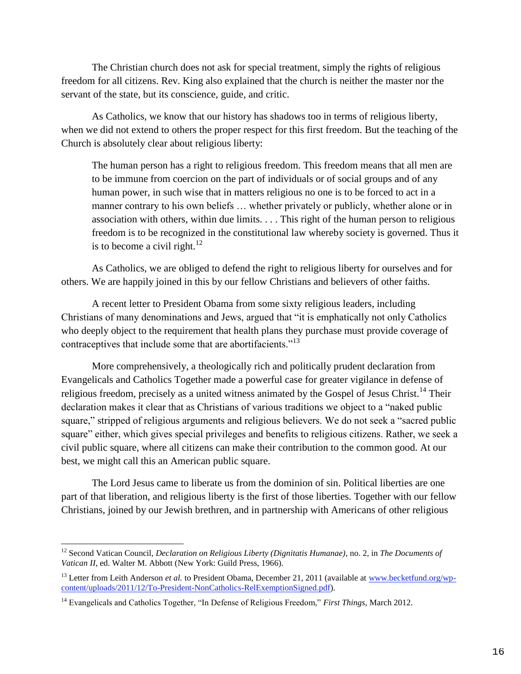The Christian church does not ask for special treatment, simply the rights of religious freedom for all citizens. Rev. King also explained that the church is neither the master nor the servant of the state, but its conscience, guide, and critic.

As Catholics, we know that our history has shadows too in terms of religious liberty, when we did not extend to others the proper respect for this first freedom. But the teaching of the Church is absolutely clear about religious liberty:

The human person has a right to religious freedom. This freedom means that all men are to be immune from coercion on the part of individuals or of social groups and of any human power, in such wise that in matters religious no one is to be forced to act in a manner contrary to his own beliefs … whether privately or publicly, whether alone or in association with others, within due limits. . . . This right of the human person to religious freedom is to be recognized in the constitutional law whereby society is governed. Thus it is to become a civil right.<sup>12</sup>

As Catholics, we are obliged to defend the right to religious liberty for ourselves and for others. We are happily joined in this by our fellow Christians and believers of other faiths.

A recent letter to President Obama from some sixty religious leaders, including Christians of many denominations and Jews, argued that "it is emphatically not only Catholics who deeply object to the requirement that health plans they purchase must provide coverage of contraceptives that include some that are abortifacients."<sup>13</sup>

More comprehensively, a theologically rich and politically prudent declaration from Evangelicals and Catholics Together made a powerful case for greater vigilance in defense of religious freedom, precisely as a united witness animated by the Gospel of Jesus Christ.<sup>14</sup> Their declaration makes it clear that as Christians of various traditions we object to a "naked public square," stripped of religious arguments and religious believers. We do not seek a "sacred public square" either, which gives special privileges and benefits to religious citizens. Rather, we seek a civil public square, where all citizens can make their contribution to the common good. At our best, we might call this an American public square.

The Lord Jesus came to liberate us from the dominion of sin. Political liberties are one part of that liberation, and religious liberty is the first of those liberties. Together with our fellow Christians, joined by our Jewish brethren, and in partnership with Americans of other religious

 $\overline{a}$ 

<sup>12</sup> Second Vatican Council, *Declaration on Religious Liberty (Dignitatis Humanae)*, no. 2, in *The Documents of Vatican II*, ed. Walter M. Abbott (New York: Guild Press, 1966).

<sup>&</sup>lt;sup>13</sup> Letter from Leith Anderson *et al.* to President Obama, December 21, 2011 (available at [www.becketfund.org/wp](http://www.becketfund.org/wp-content/uploads/2011/12/To-President-NonCatholics-RelExemptionSigned.pdf)[content/uploads/2011/12/To-President-NonCatholics-RelExemptionSigned.pdf\)](http://www.becketfund.org/wp-content/uploads/2011/12/To-President-NonCatholics-RelExemptionSigned.pdf).

<sup>14</sup> Evangelicals and Catholics Together, "In Defense of Religious Freedom," *First Things*, March 2012.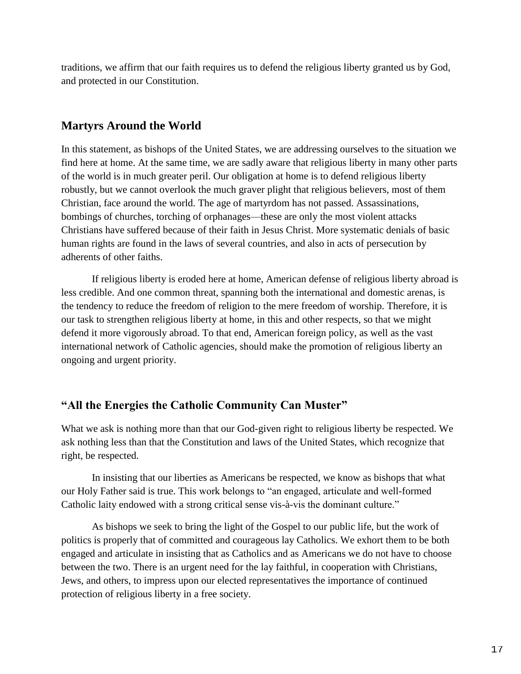traditions, we affirm that our faith requires us to defend the religious liberty granted us by God, and protected in our Constitution.

## **Martyrs Around the World**

In this statement, as bishops of the United States, we are addressing ourselves to the situation we find here at home. At the same time, we are sadly aware that religious liberty in many other parts of the world is in much greater peril. Our obligation at home is to defend religious liberty robustly, but we cannot overlook the much graver plight that religious believers, most of them Christian, face around the world. The age of martyrdom has not passed. Assassinations, bombings of churches, torching of orphanages—these are only the most violent attacks Christians have suffered because of their faith in Jesus Christ. More systematic denials of basic human rights are found in the laws of several countries, and also in acts of persecution by adherents of other faiths.

If religious liberty is eroded here at home, American defense of religious liberty abroad is less credible. And one common threat, spanning both the international and domestic arenas, is the tendency to reduce the freedom of religion to the mere freedom of worship. Therefore, it is our task to strengthen religious liberty at home, in this and other respects, so that we might defend it more vigorously abroad. To that end, American foreign policy, as well as the vast international network of Catholic agencies, should make the promotion of religious liberty an ongoing and urgent priority.

## **"All the Energies the Catholic Community Can Muster"**

What we ask is nothing more than that our God-given right to religious liberty be respected. We ask nothing less than that the Constitution and laws of the United States, which recognize that right, be respected.

In insisting that our liberties as Americans be respected, we know as bishops that what our Holy Father said is true. This work belongs to "an engaged, articulate and well-formed Catholic laity endowed with a strong critical sense vis-à-vis the dominant culture."

As bishops we seek to bring the light of the Gospel to our public life, but the work of politics is properly that of committed and courageous lay Catholics. We exhort them to be both engaged and articulate in insisting that as Catholics and as Americans we do not have to choose between the two. There is an urgent need for the lay faithful, in cooperation with Christians, Jews, and others, to impress upon our elected representatives the importance of continued protection of religious liberty in a free society.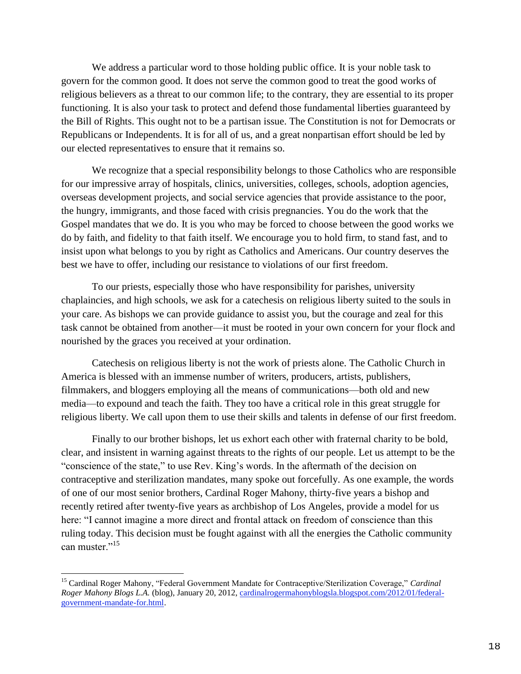We address a particular word to those holding public office. It is your noble task to govern for the common good. It does not serve the common good to treat the good works of religious believers as a threat to our common life; to the contrary, they are essential to its proper functioning. It is also your task to protect and defend those fundamental liberties guaranteed by the Bill of Rights. This ought not to be a partisan issue. The Constitution is not for Democrats or Republicans or Independents. It is for all of us, and a great nonpartisan effort should be led by our elected representatives to ensure that it remains so.

We recognize that a special responsibility belongs to those Catholics who are responsible for our impressive array of hospitals, clinics, universities, colleges, schools, adoption agencies, overseas development projects, and social service agencies that provide assistance to the poor, the hungry, immigrants, and those faced with crisis pregnancies. You do the work that the Gospel mandates that we do. It is you who may be forced to choose between the good works we do by faith, and fidelity to that faith itself. We encourage you to hold firm, to stand fast, and to insist upon what belongs to you by right as Catholics and Americans. Our country deserves the best we have to offer, including our resistance to violations of our first freedom.

To our priests, especially those who have responsibility for parishes, university chaplaincies, and high schools, we ask for a catechesis on religious liberty suited to the souls in your care. As bishops we can provide guidance to assist you, but the courage and zeal for this task cannot be obtained from another—it must be rooted in your own concern for your flock and nourished by the graces you received at your ordination.

Catechesis on religious liberty is not the work of priests alone. The Catholic Church in America is blessed with an immense number of writers, producers, artists, publishers, filmmakers, and bloggers employing all the means of communications—both old and new media—to expound and teach the faith. They too have a critical role in this great struggle for religious liberty. We call upon them to use their skills and talents in defense of our first freedom.

Finally to our brother bishops, let us exhort each other with fraternal charity to be bold, clear, and insistent in warning against threats to the rights of our people. Let us attempt to be the "conscience of the state," to use Rev. King's words. In the aftermath of the decision on contraceptive and sterilization mandates, many spoke out forcefully. As one example, the words of one of our most senior brothers, Cardinal Roger Mahony, thirty-five years a bishop and recently retired after twenty-five years as archbishop of Los Angeles, provide a model for us here: "I cannot imagine a more direct and frontal attack on freedom of conscience than this ruling today. This decision must be fought against with all the energies the Catholic community can muster."<sup>15</sup>

 $\overline{\phantom{a}}$ 

<sup>15</sup> Cardinal Roger Mahony, "Federal Government Mandate for Contraceptive/Sterilization Coverage," *Cardinal Roger Mahony Blogs L.A.* (blog), January 20, 2012[, cardinalrogermahonyblogsla.blogspot.com/2012/01/federal](http://cardinalrogermahonyblogsla.blogspot.com/2012/01/federal-government-mandate-for.html)[government-mandate-for.html.](http://cardinalrogermahonyblogsla.blogspot.com/2012/01/federal-government-mandate-for.html)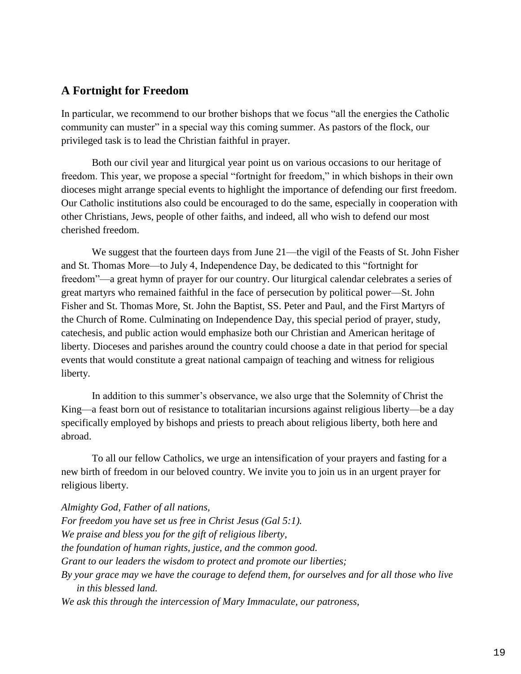## **A Fortnight for Freedom**

In particular, we recommend to our brother bishops that we focus "all the energies the Catholic community can muster" in a special way this coming summer. As pastors of the flock, our privileged task is to lead the Christian faithful in prayer.

Both our civil year and liturgical year point us on various occasions to our heritage of freedom. This year, we propose a special "fortnight for freedom," in which bishops in their own dioceses might arrange special events to highlight the importance of defending our first freedom. Our Catholic institutions also could be encouraged to do the same, especially in cooperation with other Christians, Jews, people of other faiths, and indeed, all who wish to defend our most cherished freedom.

We suggest that the fourteen days from June 21—the vigil of the Feasts of St. John Fisher and St. Thomas More—to July 4, Independence Day, be dedicated to this "fortnight for freedom"—a great hymn of prayer for our country. Our liturgical calendar celebrates a series of great martyrs who remained faithful in the face of persecution by political power—St. John Fisher and St. Thomas More, St. John the Baptist, SS. Peter and Paul, and the First Martyrs of the Church of Rome. Culminating on Independence Day, this special period of prayer, study, catechesis, and public action would emphasize both our Christian and American heritage of liberty. Dioceses and parishes around the country could choose a date in that period for special events that would constitute a great national campaign of teaching and witness for religious liberty.

In addition to this summer's observance, we also urge that the Solemnity of Christ the King—a feast born out of resistance to totalitarian incursions against religious liberty—be a day specifically employed by bishops and priests to preach about religious liberty, both here and abroad.

To all our fellow Catholics, we urge an intensification of your prayers and fasting for a new birth of freedom in our beloved country. We invite you to join us in an urgent prayer for religious liberty.

*Almighty God, Father of all nations, For freedom you have set us free in Christ Jesus (Gal 5:1). We praise and bless you for the gift of religious liberty, the foundation of human rights, justice, and the common good. Grant to our leaders the wisdom to protect and promote our liberties; By your grace may we have the courage to defend them, for ourselves and for all those who live in this blessed land. We ask this through the intercession of Mary Immaculate, our patroness,*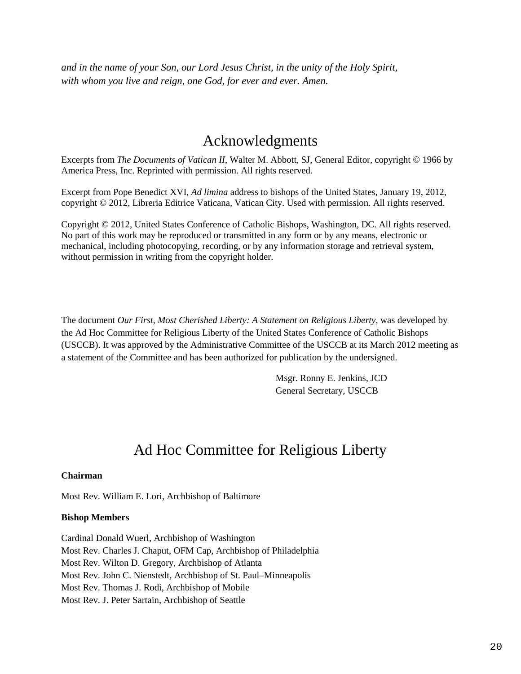*and in the name of your Son, our Lord Jesus Christ, in the unity of the Holy Spirit, with whom you live and reign, one God, for ever and ever. Amen.*

## Acknowledgments

Excerpts from *The Documents of Vatican II*, Walter M. Abbott, SJ, General Editor, copyright © 1966 by America Press, Inc. Reprinted with permission. All rights reserved.

Excerpt from Pope Benedict XVI, *Ad limina* address to bishops of the United States, January 19, 2012, copyright © 2012, Libreria Editrice Vaticana, Vatican City. Used with permission. All rights reserved.

Copyright © 2012, United States Conference of Catholic Bishops, Washington, DC. All rights reserved. No part of this work may be reproduced or transmitted in any form or by any means, electronic or mechanical, including photocopying, recording, or by any information storage and retrieval system, without permission in writing from the copyright holder.

The document *Our First, Most Cherished Liberty: A Statement on Religious Liberty*, was developed by the Ad Hoc Committee for Religious Liberty of the United States Conference of Catholic Bishops (USCCB). It was approved by the Administrative Committee of the USCCB at its March 2012 meeting as a statement of the Committee and has been authorized for publication by the undersigned.

> Msgr. Ronny E. Jenkins, JCD General Secretary, USCCB

## Ad Hoc Committee for Religious Liberty

#### **Chairman**

Most Rev. William E. Lori, Archbishop of Baltimore

#### **Bishop Members**

Cardinal Donald Wuerl, Archbishop of Washington Most Rev. Charles J. Chaput, OFM Cap, Archbishop of Philadelphia Most Rev. Wilton D. Gregory, Archbishop of Atlanta Most Rev. John C. Nienstedt, Archbishop of St. Paul–Minneapolis Most Rev. Thomas J. Rodi, Archbishop of Mobile Most Rev. J. Peter Sartain, Archbishop of Seattle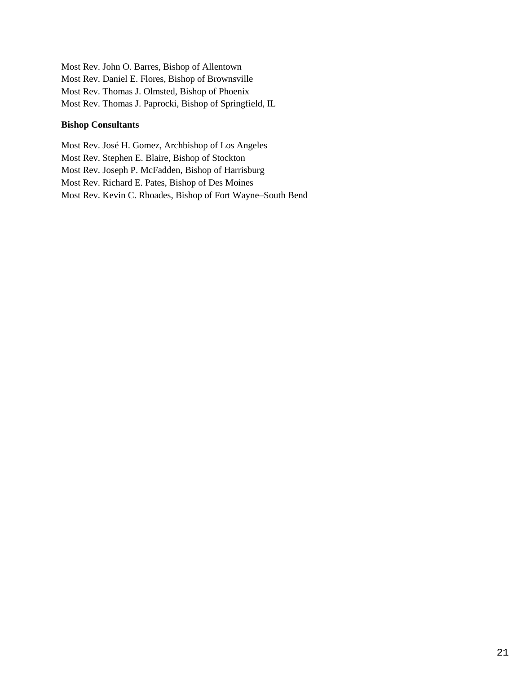Most Rev. John O. Barres, Bishop of Allentown Most Rev. Daniel E. Flores, Bishop of Brownsville Most Rev. Thomas J. Olmsted, Bishop of Phoenix Most Rev. Thomas J. Paprocki, Bishop of Springfield, IL

#### **Bishop Consultants**

Most Rev. José H. Gomez, Archbishop of Los Angeles Most Rev. Stephen E. Blaire, Bishop of Stockton Most Rev. Joseph P. McFadden, Bishop of Harrisburg Most Rev. Richard E. Pates, Bishop of Des Moines Most Rev. Kevin C. Rhoades, Bishop of Fort Wayne–South Bend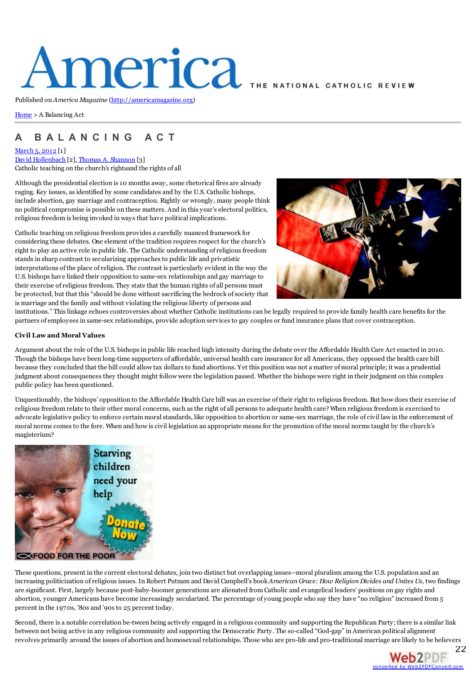# nerica

Published on *America Magazine* [\(http://americamagazine.org](http://americamagazine.org))

[Home](http://americamagazine.org/) > A Balancing Act

## **A B A L A N C I N G A C T**

[March](http://americamagazine.org/toc-past/2012-03-05) 5, 2012 [1] David [Hollenbach](http://americamagazine.org/users/david-hollenbach) [2], Thomas A. [Shannon](http://americamagazine.org/users/thomas-shannon) [3] Catholic teaching on the church's rightsand the rights of all

Although the presidential election is 10 months away, some rhetorical fires are already raging. Key issues, asidentified by some candidates and by the U.S. Catholic bishops, include abortion, gay marriage and contraception. Rightly or wrongly, many people think no politicalcompromise is possible on these matters. And in this year's electoral politics, religious freedom is being invoked in ways that have political implications.

Catholic teaching on religious freedom provides a carefully nuanced framework for considering these debates. One element of the tradition requires respect for the church's right to play an active role in public life. The Catholic understanding of religious freedom stands in sharp contrast to secularizing approaches to public life and privatistic interpretations of the place ofreligion. The contrast is particularly evident in the way the U.S. bishops have linked their opposition to same-sex relationships and gay marriage to their exercise of religious freedom. They state that the human rights of all persons must be protected, but that this "should be done without sacrificing the bedrock of society that is marriage and the family and without violating the religiousliberty of persons and



THE NATIONAL CATHOLIC REVIEW

institutions." This linkage echoes controversies about whether Catholic institutions can be legally required to provide family health care benefits for the partners of employeesin same-sex relationships, provide adoption servicesto gay couples or fund insurance plansthat cover contraception.

#### **Civil Law and Moral Values**

Argument about the role of the U.S. bishops in public life reached high intensity during the debate over the Affordable Health Care Act enacted in 2010. Though the bishops have been long-time supporters of affordable, universal health care insurance for all Americans, they opposed the health care bill because they concluded that the bill could allow tax dollars to fund abortions. Yet this position was not a matter of moral principle; it was a prudential judgment about consequencesthey thought might follow were the legislation passed. Whether the bishops were right in their judgment on thiscomplex public policy has been questioned.

Unquestionably, the bishops' opposition to the Affordable Health Care bill was an exercise of their right to religious freedom. But how does their exercise of religiousfreedom relate to their other moralconcerns, such asthe right of all personsto adequate health care? When religiousfreedom is exercised to advocate legislative policy to enforce certain moralstandards, like opposition to abortion or same-sex marriage, the role ofcivil law in the enforcement of moral norms comes to the fore. When and how is civil legislation an appropriate means for the promotion of the moral norms taught by the church's magisterium?



These questions, present in the current electoral debates, join two distinct but overlapping issues—moral pluralism among the U.S. population and an increasing politicization ofreligiousissues. In Robert Putnam and David Campbell's book *American Grace: How Religion Divides and Unites Us*, two findings are significant. First, largely because post-baby-boomer generations are alienated from Catholic and evangelical leaders' positions on gay rights and abortion, younger Americans have become increasingly secularized. The percentage of young people who say they have "no religion" increased from 5 percent in the 1970s, '80s and '90sto 25 percent today.

Second, there is a notable correlation be-tween being actively engaged in a religious community and supporting the Republican Party; there is a similar link between not being active in any religiouscommunity and supporting the Democratic Party. The so-called "God-gap" in American political alignment revolves primarily around the issues of abortion and homosexual relationships. Those who are pro-life and pro-traditional marriage are likely to be believers

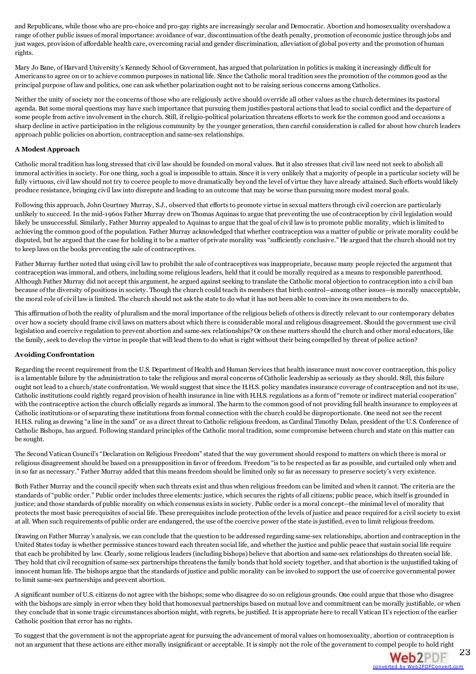and Republicans, while those who are pro-choice and pro-gay rights are increasingly secular and Democratic. Abortion and homosexuality overshadow a range of other public issues ofmoral importance: avoidance ofwar, discontinuation of the death penalty, promotion of economic justice through jobs and just wages, provision of affordable health care, overcoming racial and gender discrimination, alleviation of global poverty and the promotion of human rights.

Mary Jo Bane, of Harvard University's Kennedy School ofGovernment, has argued that polarization in politicsis making it increasingly difficult for Americans to agree on or to achieve common purposes in national life. Since the Catholic moral tradition sees the promotion of the common good as the principal purpose of law and politics, one can ask whether polarization ought not to be raising serious concerns among Catholics.

Neither the unity ofsociety nor the concerns of those who are religiously active should override all other values asthe church determinesits pastoral agenda. But some moral questions may have such importance that pursuing them justifies pastoral actions that lead to social conflict and the departure of some people from active involvement in the church. Still, if religio-political polarization threatens efforts to work for the common good and occasions a sharp decline in active participation in the religious community by the younger generation, then careful consideration is called for about how church leaders approach public policies on abortion, contraception and same-sex relationships.

#### **A Modest Approach**

Catholic moral tradition has long stressed that civil law should be founded on moral values. But it also stresses that civil law need not seek to abolish all immoral activitiesin society. For one thing, such a goal isimpossible to attain. Since it is very unlikely that a majority of people in a particular society will be fully virtuous, civil law should not try to coerce people to move dramatically beyond the level of virtue they have already attained. Such efforts would likely produce resistance, bringing civil law into disrepute and leading to an outcome that may be worse than pursuing more modest moral goals.

Following this approach, John Courtney Murray, S.J., observed that efforts to promote virtue in sexual matters through civil coercion are particularly unlikely to succeed. In the mid-1960s Father Murray drew on Thomas Aquinasto argue that preventing the use ofcontraception by civil legislation would likely be unsuccessful. Similarly, Father Murray appealed to Aquinasto argue that the goal ofcivil law isto promote public morality, which islimited to achieving the common good of the population. Father Murray acknowledged that whether contraception was a matter of public or private morality could be disputed, but he argued that the case for holding it to be a matter of private morality was"sufficiently conclusive." He argued that the church should not try to keep laws on the books preventing the sale of contraceptives.

Father Murray further noted that using civil law to prohibit the sale ofcontraceptives wasinappropriate, because many people rejected the argument that contraception wasimmoral, and others, including some religiousleaders, held that it could be morally required as a meansto responsible parenthood. Although Father Murray did not accept this argument, he argued against seeking to translate the Catholic moral objection to contraception into a civil ban because of the diversity of positionsin society. Though the church could teach its membersthat birth control—among other issues—is morally unacceptable, the moral role ofcivil law islimited. The church should not ask the state to do what it has not been able to convince its own membersto do.

This affirmation of both the reality of pluralism and the moral importance of the religious beliefs of others is directly relevant to our contemporary debates over how a society should frame civil laws on matters about which there isconsiderable moral and religious disagreement. Should the government use civil legislation and coercive regulation to prevent abortion and same-sex relationships?Or on these mattersshould the church and other moral educators, like the family, seek to develop the virtue in people that will lead them to do what isright without their being compelled by threat of police action?

#### **Avoiding Confrontation**

Regarding the recent requirement from the U.S. Department of Health and Human Services that health insurance must now cover contraception, this policy is a lamentable failure by the administration to take the religious and moral concerns of Catholic leadership as seriously as they should. Still, this failure ought not lead to a church/state confrontation. We would suggest that since the H.H.S. policy mandatesinsurance coverage ofcontraception and not its use, Catholic institutions could rightly regard provision of health insurance in line with H.H.S. regulations as a form of "remote or indirect material cooperation" with the contraceptive action the church officially regards asimmoral. The harm to the common good of not providing full health insurance to employees at Catholic institutions or of separating these institutions from formal connection with the church could be disproportionate. One need not see the recent H.H.S. ruling as drawing "a line in the sand" or as a direct threat to Catholic religiousfreedom, as Cardinal Timothy Dolan, president of the U.S. Conference of Catholic Bishops, has argued. Following standard principles of the Catholic moral tradition, some compromise between church and state on this matter can be sought.

The Second Vatican Council's"Declaration on Religious Freedom" stated that the way government should respond to matters on which there is moral or religious disagreement should be based on a presupposition in favor of freedom. Freedom "isto be respected asfar as possible, and curtailed only when and in so far as necessary." Father Murray added that this means freedom should be limited only so far as necessary to preserve society's very existence.

Both Father Murray and the councilspecify when such threats exist and thus when religiousfreedom can be limited and when it cannot. The criteria are the standards of "public order." Public order includes three elements: justice, which secures the rights of all citizens; public peace, which itself is grounded in justice; and those standards of public morality on which consensus existsin society. Public order is a moralconcept—the minimal level ofmorality that protectsthe most basic prerequisites ofsocial life. These prerequisitesinclude protection of the levels of justice and peace required for a civilsociety to exist at all. When such requirements of public order are endangered, the use of the coercive power of the state isjustified, even to limit religiousfreedom.

Drawing on Father Murray's analysis, we can conclude that the question to be addressed regarding same-sex relationships, abortion and contraception in the United States today is whether permissive stances toward each threaten social life, and whether the justice and public peace that sustain social life require that each be prohibited by law. Clearly, some religiousleaders(including bishops) believe that abortion and same-sex relationships do threaten social life. They hold that civil recognition of same-sex partnerships threatens the family bonds that hold society together, and that abortion is the unjustified taking of innocent human life. The bishops argue that the standards of justice and public morality can be invoked to support the use ofcoercive governmental power to limit same-sex partnerships and prevent abortion.

A significant number ofU.S. citizens do not agree with the bishops;some who disagree do so on religious grounds. One could argue that those who disagree with the bishops are simply in error when they hold that homosexual partnerships based on mutual love and commitment can be morally justifiable, or when they conclude that in some tragic circumstances abortion might, with regrets, be justified. It is appropriate here to recall Vatican II'srejection of the earlier Catholic position that error has no rights.

To suggest that the government is not the appropriate agent for pursuing the advancement ofmoral values on homosexuality, abortion or contraception is not an argument that these actions are either morally insignificant or acceptable. It issimply not the role of the government to compel people to hold right

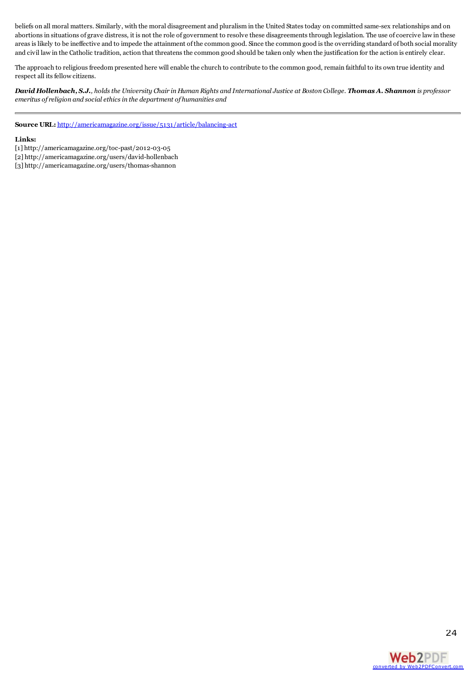beliefs on all moral matters. Similarly, with the moral disagreement and pluralism in the United States today on committed same-sex relationships and on abortions in situations of grave distress, it is not the role of government to resolve these disagreements through legislation. The use of coercive law in these areasislikely to be ineffective and to impede the attainment of the common good. Since the common good isthe overriding standard of both social morality and civil law in the Catholic tradition, action that threatens the common good should be taken only when the justification for the action is entirely clear.

The approach to religious freedom presented here will enable the church to contribute to the common good, remain faithful to its own true identity and respect all its fellow citizens.

David Hollenbach, S.J., holds the University Chair in Human Rights and International Justice at Boston College. Thomas A. Shannon is professor *emeritus of religion and social ethicsin the department of humanities and*

**Source URL:** <http://americamagazine.org/issue/5131/article/balancing-act>

#### **Links:**

- [1] http://americamagazine.org/toc-past/2012-03-05
- [2] http://americamagazine.org/users/david-hollenbach
- [3] http://americamagazine.org/users/thomas-shannon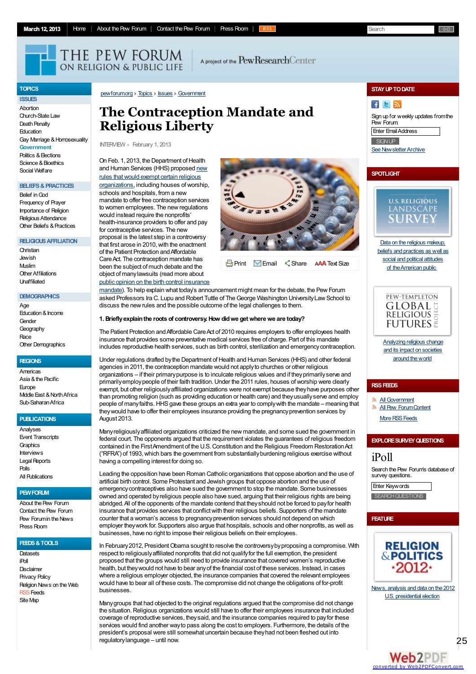THE PEW FORUM ON RELIGION & PUBLIC LIFE

A project of the PewResearchCenter

#### **[TOPICS](http://www.pewforum.org/Topics) [ISSUES](http://www.pewforum.org/Topics/Issues)**

[Abortion](http://www.pewforum.org/Topics/Issues/Abortion) [Church-State](http://www.pewforum.org/Topics/Issues/Church-State-Law) Law Death [Penalty](http://www.pewforum.org/topics/issues/Death-Penalty) **[Education](http://www.pewforum.org/Topics/Issues/Education)** Gay Marriage & Homosexuality **[Government](http://www.pewforum.org/Topics/Issues/Government)** Politics & Elections Science & Bioethics Social [Welfare](http://www.pewforum.org/Topics/Issues/Social-Welfare)

#### **[BELIEFS&PRACTICES](http://www.pewforum.org/Topics/Beliefs-and-Practices)**

Belief [inGod](http://www.pewforum.org/Topics/Beliefs-and-Practices/Belief-in-God) [Frequency](http://www.pewforum.org/Topics/Beliefs-and-Practices/Frequency-of-Prayer) of Prayer [Importance](http://www.pewforum.org/Topics/Beliefs-and-Practices/Importance-of-Religion) of Religion Religious Attendance Other Beliefs [&Practices](http://www.pewforum.org/Topics/Beliefs-and-Practices/Other-Beliefs-and-Practices)

#### **[RELIGIOUSAFFILIATION](http://www.pewforum.org/Topics/Religious-Affiliation)**

**[Christian](http://www.pewforum.org/Topics/Religious-Affiliation/Christian)** [Jewish](http://www.pewforum.org/Topics/Religious-Affiliation/Jewish) Mislim Other Affiliations [Unaffiliated](http://www.pewforum.org/Topics/Religious-Affiliation/Unaffiliated)

#### **[DEMOGRAPHICS](http://www.pewforum.org/Topics/Demographics)**

[Age](http://www.pewforum.org/Topics/Demographics/Age) [Education](http://www.pewforum.org/Topics/Demographics/Education-and-Income) &Income **[Gender](http://www.pewforum.org/Topics/Demographics/Gender) [Geography](http://www.pewforum.org/Topics/Demographics/Geography)** [Race](http://www.pewforum.org/Topics/Demographics/Race) Other [Demographics](http://www.pewforum.org/Topics/Demographics/Other-Demographics)

#### **[REGIONS](http://www.pewforum.org/Regions)**

[Americas](http://www.pewforum.org/Regions/Americas) Asia & the [Pacific](http://www.pewforum.org/Regions/Asia-and-the-Pacific) [Europe](http://www.pewforum.org/Regions/Europe) Middle East & North Africa [Sub-SaharanAfrica](http://www.pewforum.org/Regions/Sub-Saharan-Africa)

#### **[PUBLICATIONS](http://www.pewforum.org/Publications)**

[Analyses](http://www.pewforum.org/Publications/Analyses) Event [Transcripts](http://www.pewforum.org/Publications/Event-transcripts) **[Graphics](http://www.pewforum.org/Publications/Graphics) [Interviews](http://www.pewforum.org/Publications/Interviews)** Legal Reports [Polls](http://www.pewforum.org/Publications/Polls) All [Publications](http://www.pewforum.org/CategoryIndex.aspx?id=80)

#### **PEW FORUM**

About the Pew [Forum](http://www.pewforum.org/Pew-Forum/About-the-Pew-Forum.aspx) [Contact](http://www.pewforum.org/Pew-Forum/Contact-the-Pew-Forum.aspx) the Pew Forum Pew Forumin the News Press [Room](http://www.pewforum.org/Press-Room/)

#### **[FEEDS&TOOLS](http://www.pewforum.org/WorkArea/linkit.aspx?LinkIdentifier=ID&ItemID=566)**

**[Datasets](http://www.pewforum.org/Datasets/Dataset-Download.aspx)** [iPoll](http://pewforum.org/iPoll.aspx) **[Disclaimer](http://www.pewforum.org/Feeds-and-Tools/Disclaimer.aspx)** [Privacy](http://www.pewforum.org/Feeds-and-Tools/Privacy-Policy.aspx) Policy Religion News on the Web [RSSFeeds](http://www.pewforum.org/rss/) Site [Map](http://www.pewforum.org/sitemap/)

## **The Contraception Mandate and Religious Liberty**

INTERVIEW February 1, 2013

#### On Feb. 1, 2013, the Department of Health and Human Services (HHS) proposed new rules thatwould exempt certain religious

[pewforum.org](http://www.pewforum.org/) [Topics](http://www.pewforum.org/Topics/) [Issues](http://www.pewforum.org/Topics/Issues/) [Government](http://www.pewforum.org/Topics/Issues/Government/)

[organizations,](http://www.ofr.gov/OFRUpload/OFRData/2013-02420_PI.pdf) including houses of worship, schools and hospitals, from a new mandate to offer free contraception services to women employees. The new regulations would instead require the nonprofits' health-insurance providers to offer and pay for contraceptive services. The new proposal is the latest step in a controversy that first arose in 2010, with the enactment of the Patient Protection andAffordable Care Act. The contraception mandate has been the subject of much debate and the

object of manylawsuits (read more about public opinion on the birth control [insurance](http://www.people-press.org/2012/02/14/public-divided-over-birth-control-insurance-mandate/)



mandate). To help explain what today's announcement might mean for the debate, the PewForum asked Professors Ira C. Lupu and Robert Tuttle of The George Washington University Law School to discuss the newrules and the possible outcome of the legal challenges to them.

#### **1.Brieflyexplainthe roots of controversy.How didwe getwherewe are today?**

The Patient Protection and Affordable Care Act of 2010 requires employers to offer employees health insurance that provides some preventative medical services free of charge. Part of this mandate includes reproductive health services, such as birth control, sterilization and emergencycontraception.

Under regulations drafted by the Department of Health and Human Services (HHS) and other federal agencies in 2011, the contraception mandate would not applyto churches or other religious organizations – if their primarypurpose is to inculcate religious values and if theyprimarilyserve and primarily employ people of their faith tradition. Under the 2011 rules, houses of worship were clearly exempt, but other religiouslyaffiliated organizations were not exempt because theyhave purposes other than promoting religion (such as providing education or health care) and theyusuallyserve and employ people of manyfaiths.HHSgave these groups an extra year to complywith the mandate – meaning that theywould have to offer their employees insurance providing the pregnancyprevention services by August 2013.

Manyreligiouslyaffiliated organizations criticized the new mandate, and some sued the government in federal court. The opponents argued that the requirement violates the guarantees of religious freedom contained in the First Amendment of the U.S. Constitution and the Religious Freedom Restoration Act ("RFRA") of 1993,which bars the government from substantiallyburdening religious exercise without having a compelling interest for doing so.

Leading the opposition have been Roman Catholic organizations that oppose abortion and the use of artificial birth control. Some Protestant and Jewish groups that oppose abortion and the use of emergencycontraceptives also have sued the government to stop the mandate. Some businesses owned and operated byreligious people also have sued, arguing that their religious rights are being abridged.All of the opponents of the mandate contend that theyshould not be forced to payfor health insurance that provides services that conflict with their religious beliefs. Supporters of the mandate counter that a woman's access to pregnancyprevention services should not depend on which employer theywork for. Supporters also argue that hospitals, schools and other nonprofits, as well as businesses, have no right to impose their religious beliefs on their employees.

In February 2012, President Obama sought to resolve the controversy by proposing a compromise. With respect to religiouslyaffiliated nonprofits that did not qualifyfor the full exemption, the president proposed that the groups would still need to provide insurance that covered women's reproductive health, but theywould not have to bear anyof the financial cost of these services. Instead, in cases where a religious employer objected, the insurance companies that covered the relevant employees would have to bear all of these costs. The compromise did not change the obligations of for-profit businesses.

Manygroups that had objected to the original regulations argued that the compromise did not change the situation.Religious organizations would still have to offer their employees insurance that included coverage of reproductive services, theysaid, and the insurance companies required to payfor these services would find another way to pass along the cost to employers. Furthermore, the details of the president's proposal were still somewhat uncertain because theyhad not been fleshed out into regulatorylanguage – until now.

#### **STAYUPTODATE**



#### **SPOTLIGHT**

| <b>U.S. RELIGIOUS</b> |
|-----------------------|
| LANDSCAPE             |
| <b>SURVE</b>          |

Data on the religious makeup. beliefs and practices as well as social and political attitudes of [theAmerican](http://religions.pewforum.org) public



[Analyzing](http://www.pewforum.org/the-pew-templeton-global-religious-futures-project.aspx) religious change and its impact on societies around the world

#### **RSSFEEDS**

**All Government All Pew [ForumContent](http://www.pewforum.org/RSS/all.rss)** 

More RSS Feeds

#### **EXPLORE SURVEY QUESTIONS**

#### iPoll

Search the Pew Forum's database of survey questions.

Enter Keywords SEARCH QUESTIONS

#### **FEATURE**



News, analysis and data on the 2012 U.S. [presidential](http://projects.pewforum.org/rp2012) election

25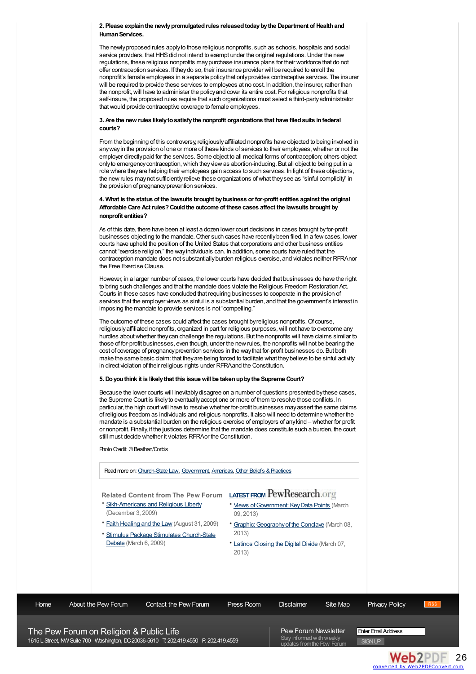#### **2. Please explainthe newlypromulgatedrules releasedtodaybythe Department of Healthand HumanServices.**

The newlyproposed rules applyto those religious nonprofits, such as schools, hospitals and social service providers, that HHS did not intend to exempt under the original regulations. Under the new regulations, these religious nonprofits maypurchase insurance plans for their workforce that do not offer contraception services. If theydo so, their insurance provider will be required to enroll the nonprofit's female employees in a separate policythat onlyprovides contraceptive services. The insurer will be required to provide these services to employees at no cost. In addition, the insurer, rather than the nonprofit, will have to administer the policy and cover its entire cost. For religious nonprofits that self-insure, the proposed rules require that such organizations must select a third-partyadministrator that would provide contraceptive coverage to female employees.

#### **3.Are the new rules likelytosatisfythe nonprofit organizations that have filedsuits infederal courts?**

From the beginning of this controversy, religiouslyaffiliated nonprofits have objected to being involved in anyway in the provision of one or more of these kinds of services to their employees, whether or not the employer directlypaid for the services. Some object to all medical forms of contraception; others object onlyto emergencycontraception,which theyviewas abortion-inducing. But all object to being put in a role where theyare helping their employees gain access to such services. In light of these objections, the newrules maynot sufficientlyrelieve these organizations ofwhat theysee as "sinful complicity" in the provision of pregnancy prevention services.

#### **4. What is the status of the lawsuits brought bybusiness or for-profit entities against the original Affordable Care Actrules?Couldthe outcome of these cases affect the lawsuits brought by nonprofit entities?**

As of this date, there have been at least a dozen lower court decisions in cases brought byfor-profit businesses objecting to the mandate. Other such cases have recently been filed. In a few cases, lower courts have upheld the position of the United States that corporations and other business entities cannot "exercise religion," the wayindividuals can. In addition, some courts have ruled that the contraception mandate does not substantiallyburden religious exercise, and violates neither RFRAnor the Free Exercise Clause.

However, in a larger number of cases, the lower courts have decided that businesses do have the right to bring such challenges and that the mandate does violate the Religious Freedom Restoration Act. Courts in these cases have concluded that requiring businesses to cooperate in the provision of services that the employer views as sinful is a substantial burden, and that the government's interest in imposing the mandate to provide services is not "compelling."

The outcome of these cases could affect the cases brought by religious nonprofits. Of course, religiously affiliated nonprofits, organized in part for religious purposes, will not have to overcome any hurdles about whether they can challenge the regulations. But the nonprofits will have claims similar to those of for-profit businesses, even though, under the newrules, the nonprofits will not be bearing the cost of coverage of pregnancyprevention services in the waythat for-profit businesses do. But both make the same basic claim: that they are being forced to facilitate what they believe to be sinful activity in direct violation of their religious rights under RFRAand the Constitution.

#### **5.Doyouthink it is likelythat this issuewill be takenupbythe Supreme Court?**

Because the lower courts will inevitablydisagree on a number of questions presented bythese cases, the Supreme Court is likelyto eventuallyaccept one or more of them to resolve those conflicts. In particular, the high courtwill have to resolve whether for-profit businesses mayassert the same claims of religious freedom as individuals and religious nonprofits. It also will need to determine whether the mandate is a substantial burden on the religious exercise of employers of anykind – whether for profit or nonprofit. Finally, if the justices determine that the mandate does constitute such a burden, the court still must decide whether it violates RFRAor the Constitution.

#### Photo Credit: © Beathan/Corbis

(December 3, 2009)

Debate (March 6, 2009)

Read more on: [Church-State](http://www.pewforum.org/Topics/Issues/Church-State-Law) Law, [Government](http://www.pewforum.org/Topics/Issues/Government), [Americas](http://www.pewforum.org/Regions/Americas), Other Beliefs & Practices

**Related Content from The Pew Forum [LATESTFROM](http://www.pewforum.org/Government/ http://www.pewresearch.org/)** [Sikh-Americans](http://www.pewforum.org/Church-State-Law/Sikh-Americans-and-Religious-Liberty.aspx) and Religious Liberty

- \* Views of Government: Key Data Points (March 09, 2013)
- Faith [Healing](http://www.pewforum.org/Church-State-Law/Faith-Healing-and-the-Law.aspx) and the Law(August 31, 2009) Stimulus Package Stimulates [Church-State](http://www.pewforum.org/Church-State-Law/Stimulus-Package-Stimulates-Church-State-Debate.aspx) [Graphic:Geographyof](http://www.pewresearch.org/2013/03/08/geography-of-the-conclave-where-do-the-cardinals-come-from/?src=rss_main&utm_source=rss&utm_medium=rss&utm_campaign=geography-of-the-conclave-where-do-the-cardinals-come-from) the Conclave (March 08, 2013)
	- Latinos [Closing](http://www.pewresearch.org/2013/03/07/latinos-closing-the-digital-divide/?src=rss_main&utm_source=rss&utm_medium=rss&utm_campaign=latinos-closing-the-digital-divide) the Digital Divide (March 07, 2013)

[Home](http://www.pewforum.org/) About the Pew [Forum](http://www.pewforum.org/Pew-Forum/About-the-Pew-Forum.aspx) [Contact](http://www.pewforum.org/Pew-Forum/Contact-the-Pew-Forum.aspx) the Pew Forum [Press](http://www.pewforum.org/Press-Room/) Room [Disclaimer](http://www.pewforum.org/Feeds-and-Tools/Disclaimer.aspx) [Site](http://www.pewforum.org/sitemap/) Map [Privacy](http://www.pewforum.org/Feeds-and-Tools/Privacy-Policy.aspx) Policy The Pew Forum on Religion & Public Life 1615 L Street, NWSuite 700 Washington, DC20036-5610 T: 202.419.4550 F: 202.419.4559 Pew Forum Newsletter Stay informed with weekly<br>updates fromthe Pew Forum Enter EmailAddress **SIGNUP**